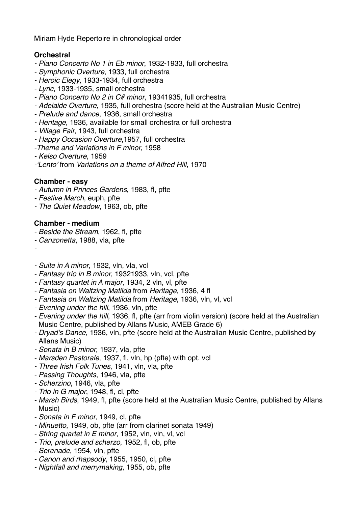Miriam Hyde Repertoire in chronological order

## **Orchestral**

- *Piano Concerto No 1 in Eb minor*, 1932-1933, full orchestra
- *- Symphonic Overture*, 1933, full orchestra
- *- Heroic Elegy*, 1933-1934, full orchestra
- *- Lyric*, 1933-1935, small orchestra
- *- Piano Concerto No 2 in C# minor*, 19341935, full orchestra
- *- Adelaide Overture*, 1935, full orchestra (score held at the Australian Music Centre)
- *- Prelude and dance*, 1936, small orchestra
- *- Heritage*, 1936, available for small orchestra or full orchestra
- *- Village Fair*, 1943, full orchestra
- *- Happy Occasion Overture*,1957, full orchestra
- *-Theme and Variations in F minor*, 1958
- *- Kelso Overture*, 1959
- *-'Lento'* from *Variations on a theme of Alfred Hill*, 1970

## **Chamber - easy**

- *- Autumn in Princes Gardens*, 1983, fl, pfte
- *- Festive March*, euph, pfte
- *- The Quiet Meadow*, 1963, ob, pfte

#### **Chamber - medium**

- *- Beside the Stream*, 1962, fl, pfte
- *- Canzonetta*, 1988, vla, pfte
- *-*
- *- Suite in A minor*, 1932, vln, vla, vcl
- *- Fantasy trio in B minor*, 19321933, vln, vcl, pfte
- *- Fantasy quartet in A major*, 1934, 2 vln, vl, pfte
- *- Fantasia on Waltzing Matilda* from *Heritage*, 1936, 4 fl
- *- Fantasia on Waltzing Matilda* from *Heritage*, 1936, vln, vl, vcl
- *- Evening under the hill*, 1936, vln, pfte
- *- Evening under the hill*, 1936, fl, pfte (arr from violin version) (score held at the Australian Music Centre, published by Allans Music, AMEB Grade 6)
- *- Dryad's Dance*, 1936, vln, pfte (score held at the Australian Music Centre, published by Allans Music)
- *- Sonata in B minor*, 1937, vla, pfte
- *- Marsden Pastorale*, 1937, fl, vln, hp (pfte) with opt. vcl
- *- Three Irish Folk Tunes*, 1941, vln, vla, pfte
- *- Passing Thoughts*, 1946, vla, pfte
- *- Scherzino*, 1946, vla, pfte
- *- Trio in G major*, 1948, fl, cl, pfte
- *- Marsh Birds*, 1949, fl, pfte (score held at the Australian Music Centre, published by Allans Music)
- *- Sonata in F minor*, 1949, cl, pfte
- *- Minuetto*, 1949, ob, pfte (arr from clarinet sonata 1949)
- *- String quartet in E minor*, 1952, vln, vln, vl, vcl
- *- Trio, prelude and scherzo*, 1952, fl, ob, pfte
- *- Serenade*, 1954, vln, pfte
- *- Canon and rhapsody*, 1955, 1950, cl, pfte
- *- Nightfall and merrymaking*, 1955, ob, pfte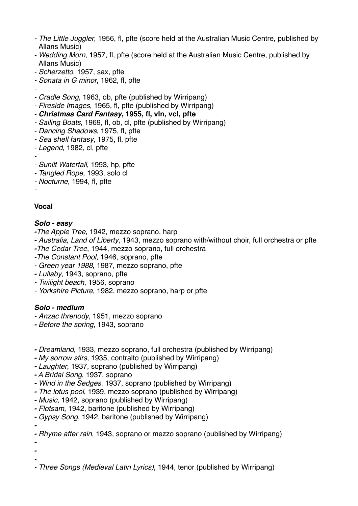- *- The Little Juggler*, 1956, fl, pfte (score held at the Australian Music Centre, published by Allans Music)
- *- Wedding Morn*, 1957, fl, pfte (score held at the Australian Music Centre, published by Allans Music)
- *- Scherzetto*, 1957, sax, pfte
- *- Sonata in G minor*, 1962, fl, pfte
- *-*
- *- Cradle Song*, 1963, ob, pfte (published by Wirripang)
- *- Fireside Images*, 1965, fl, pfte (published by Wirripang)
- *- Christmas Card Fantasy***, 1955, fl, vln, vcl, pfte**
- *- Sailing Boats*, 1969, fl, ob, cl, pfte (published by Wirripang)
- *- Dancing Shadows*, 1975, fl, pfte
- *- Sea shell fantasy*, 1975, fl, pfte
- *- Legend*, 1982, cl, pfte
- *-*
- *- Sunlit Waterfall*, 1993, hp, pfte
- *- Tangled Rope*, 1993, solo cl
- *- Nocturne*, 1994, fl, pfte

*-*

## **Vocal**

## *Solo - easy*

- *-The Apple Tree*, 1942, mezzo soprano, harp
- *- Australia, Land of Liberty*, 1943, mezzo soprano with/without choir, full orchestra or pfte
- *-The Cedar Tree*, 1944, mezzo soprano, full orchestra
- *-The Constant Pool*, 1946, soprano, pfte
- *Green year 1988*, 1987, mezzo soprano, pfte
- *- Lullaby*, 1943, soprano, pfte
- *- Twilight beach*, 1956, soprano
- *- Yorkshire Picture*, 1982, mezzo soprano, harp or pfte

## *Solo - medium*

- *- Anzac threnody*, 1951, mezzo soprano
- *- Before the spring*, 1943, soprano
- *- Dreamland*, 1933, mezzo soprano, full orchestra (published by Wirripang)
- *- My sorrow stirs*, 1935, contralto (published by Wirripang)
- *- Laughter*, 1937, soprano (published by Wirripang)
- *- A Bridal Song*, 1937, soprano
- *- Wind in the Sedges*, 1937, soprano (published by Wirripang)
- *- The lotus pool*, 1939, mezzo soprano (published by Wirripang)
- *- Music*, 1942, soprano (published by Wirripang)
- *- Flotsam*, 1942, baritone (published by Wirripang)
- *- Gypsy Song*, 1942, baritone (published by Wirripang)

*-*

*- Rhyme after rain*, 1943, soprano or mezzo soprano (published by Wirripang)

*- -*

> *- - Three Songs (Medieval Latin Lyrics)*, 1944, tenor (published by Wirripang)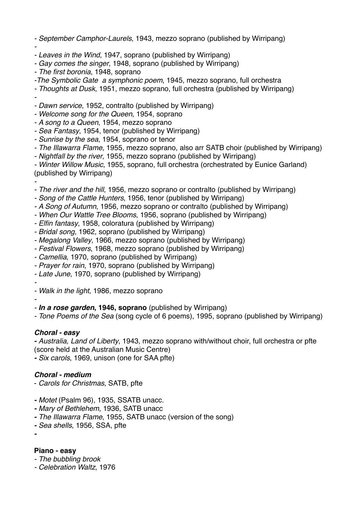*- September Camphor-Laurels*, 1943, mezzo soprano (published by Wirripang)

*- - Leaves in the Wind*, 1947, soprano (published by Wirripang)

- *- Gay comes the singer*, 1948, soprano (published by Wirripang)
- *- The first boronia*, 1948, soprano

*-The Symbolic Gate a symphonic poem*, 1945, mezzo soprano, full orchestra

*- Thoughts at Dusk*, 1951, mezzo soprano, full orchestra (published by Wirripang)

*-*

*- Dawn service*, 1952, contralto (published by Wirripang)

*- Welcome song for the Queen*, 1954, soprano

*- A song to a Queen*, 1954, mezzo soprano

*- Sea Fantasy*, 1954, tenor (published by Wirripang)

*- Sunrise by the sea*, 1954, soprano or tenor

*- The Illawarra Flame*, 1955, mezzo soprano, also arr SATB choir (published by Wirripang)

*- Nightfall by the river*, 1955, mezzo soprano (published by Wirripang)

*- Winter Willow Music*, 1955, soprano, full orchestra (orchestrated by Eunice Garland) (published by Wirripang)

*-*

- *- The river and the hill*, 1956, mezzo soprano or contralto (published by Wirripang)
- *- Song of the Cattle Hunters*, 1956, tenor (published by Wirripang)
- *- A Song of Autumn*, 1956, mezzo soprano or contralto (published by Wirripang)
- *- When Our Wattle Tree Blooms*, 1956, soprano (published by Wirripang)
- *Elfin fantasy*, 1958, coloratura (published by Wirripang)
- *- Bridal song*, 1962, soprano (published by Wirripang)

*- Megalong Valley*, 1966, mezzo soprano (published by Wirripang)

- *- Festival Flowers*, 1968, mezzo soprano (published by Wirripang)
- *- Camellia*, 1970, soprano (published by Wirripang)
- *Prayer for rain*, 1970, soprano (published by Wirripang)
- *Late June*, 1970, soprano (published by Wirripang)
- *- - Walk in the light*, 1986, mezzo soprano
- *-*

*- In a rose garden***, 1946, soprano** (published by Wirripang)

*- Tone Poems of the Sea* (song cycle of 6 poems), 1995, soprano (published by Wirripang)

## *Choral - easy*

*- Australia, Land of Liberty*, 1943, mezzo soprano with/without choir, full orchestra or pfte (score held at the Australian Music Centre)

*- Six carols*, 1969, unison (one for SAA pfte)

## *Choral - medium*

- *Carols for Christmas*, SATB, pfte
- *- Motet* (Psalm 96), 1935, SSATB unacc.
- *- Mary of Bethlehem*, 1936, SATB unacc
- *- The Illawarra Flame*, 1955, SATB unacc (version of the song)
- *- Sea shells*, 1956, SSA, pfte

*-*

# **Piano - easy**

- *- The bubbling brook*
- *- Celebration Waltz*, 1976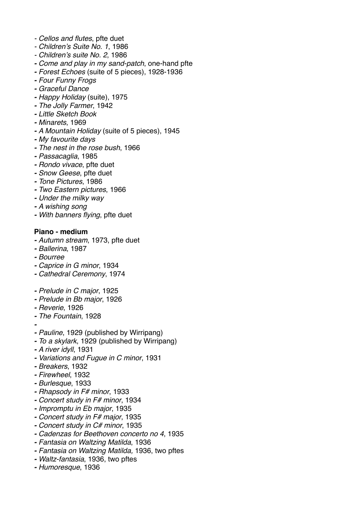- *- Cellos and flutes*, pfte duet
- *- Children's Suite No. 1*, 1986
- *- Children's suite No. 2*, 1986
- *- Come and play in my sand-patch*, one-hand pfte
- *- Forest Echoes* (suite of 5 pieces), 1928-1936
- *- Four Funny Frogs*
- *- Graceful Dance*
- *- Happy Holiday* (suite), 1975
- *- The Jolly Farmer*, 1942
- *- Little Sketch Book*
- *- Minarets*, 1969
- *- A Mountain Holiday* (suite of 5 pieces), 1945
- *- My favourite days*
- *- The nest in the rose bush*, 1966
- *- Passacaglia*, 1985
- *- Rondo vivace*, pfte duet
- *- Snow Geese*, pfte duet
- *- Tone Pictures*, 1986
- *- Two Eastern pictures*, 1966
- *- Under the milky way*
- *- A wishing song*
- *- With banners flying*, pfte duet

#### **Piano - medium**

- *- Autumn stream*, 1973, pfte duet
- *- Ballerina*, 1987
- *- Bourree*
- *- Caprice in G minor*, 1934
- *- Cathedral Ceremony*, 1974
- *- Prelude in C major*, 1925
- *- Prelude in Bb major*, 1926
- *- Reverie*, 1926
- *- The Fountain*, 1928
- *-*
- *- Pauline*, 1929 (published by Wirripang)
- *- To a skylark*, 1929 (published by Wirripang)
- *- A river idyll*, 1931
- *- Variations and Fugue in C minor*, 1931
- *- Breakers*, 1932
- *- Firewheel*, 1932
- *- Burlesque*, 1933
- *- Rhapsody in F# minor*, 1933
- *- Concert study in F# minor*, 1934
- *- Impromptu in Eb major*, 1935
- *- Concert study in F# major*, 1935
- *- Concert study in C# minor*, 1935
- *- Cadenzas for Beethoven concerto no 4*, 1935
- *- Fantasia on Waltzing Matilda*, 1936
- *- Fantasia on Waltzing Matilda,* 1936, two pftes
- *- Waltz-fantasia*, 1936, two pftes
- *- Humoresque*, 1936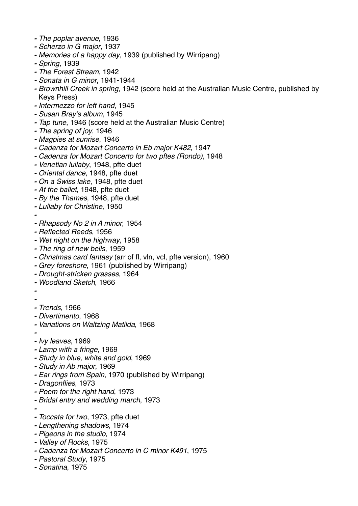- *- The poplar avenue*, 1936
- *- Scherzo in G major*, 1937
- *- Memories of a happy day*, 1939 (published by Wirripang)
- *- Spring*, 1939
- *- The Forest Stream*, 1942
- *- Sonata in G minor*, 1941-1944
- *- Brownhill Creek in spring*, 1942 (score held at the Australian Music Centre, published by Keys Press)
- *- Intermezzo for left hand*, 1945
- *- Susan Bray's album*, 1945
- *- Tap tune*, 1946 (score held at the Australian Music Centre)
- *- The spring of joy*, 1946
- *- Magpies at sunrise*, 1946
- *- Cadenza for Mozart Concerto in Eb major K482*, 1947
- *- Cadenza for Mozart Concerto for two pftes (Rondo),* 1948
- *- Venetian lullaby*, 1948, pfte duet
- *- Oriental dance*, 1948, pfte duet
- *- On a Swiss lake*, 1948, pfte duet
- *- At the ballet*, 1948, pfte duet
- *- By the Thames*, 1948, pfte duet
- *- Lullaby for Christine*, 1950
- *-*
- *- Rhapsody No 2 in A minor*, 1954
- *- Reflected Reeds*, 1956
- *- Wet night on the highway*, 1958
- *- The ring of new bells*, 1959
- *- Christmas card fantasy* (arr of fl, vln, vcl, pfte version), 1960
- *- Grey foreshore*, 1961 (published by Wirripang)
- *- Drought-stricken grasses*, 1964
- *- Woodland Sketch*, 1966
- *-*
- 
- *- - Trends*, 1966
- *- Divertimento*, 1968
- *- Variations on Waltzing Matilda*, 1968
- *-*
- *- Ivy leaves*, 1969
- *- Lamp with a fringe*, 1969
- *- Study in blue, white and gold*, 1969
- *- Study in Ab major*, 1969
- *- Ear rings from Spain*, 1970 (published by Wirripang)
- *- Dragonflies*, 1973
- *- Poem for the right hand*, 1973
- *- Bridal entry and wedding march*, 1973
- *-*
- *- Toccata for two*, 1973, pfte duet
- *- Lengthening shadows*, 1974
- *- Pigeons in the studio*, 1974
- *- Valley of Rocks*, 1975
- *- Cadenza for Mozart Concerto in C minor K491*, 1975
- *- Pastoral Study*, 1975
- *- Sonatina*, 1975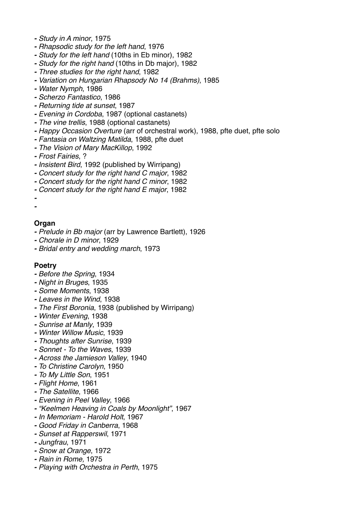- *- Study in A minor*, 1975
- *- Rhapsodic study for the left hand*, 1976
- *- Study for the left hand* (10ths in Eb minor), 1982
- *- Study for the right hand* (10ths in Db major), 1982
- *- Three studies for the right hand*, 1982
- *- Variation on Hungarian Rhapsody No 14 (Brahms)*, 1985
- *- Water Nymph*, 1986
- *- Scherzo Fantastico*, 1986
- *- Returning tide at sunset*, 1987
- *- Evening in Cordoba*, 1987 (optional castanets)
- *- The vine trellis*, 1988 (optional castanets)
- *- Happy Occasion Overture* (arr of orchestral work), 1988, pfte duet, pfte solo
- *- Fantasia on Waltzing Matilda*, 1988, pfte duet
- *- The Vision of Mary MacKillop*, 1992
- *- Frost Fairies*, ?
- *- Insistent Bird*, 1992 (published by Wirripang)
- *- Concert study for the right hand C major*, 1982
- *- Concert study for the right hand C minor*, 1982
- *- Concert study for the right hand E major*, 1982
- *- -*

#### **Organ**

- *- Prelude in Bb major* (arr by Lawrence Bartlett), 1926
- *- Chorale in D minor*, 1929
- *- Bridal entry and wedding march*, 1973

#### **Poetry**

- *- Before the Spring*, 1934
- *- Night in Bruges*, 1935
- *- Some Moments*, 1938
- *- Leaves in the Wind*, 1938
- *- The First Boronia*, 1938 (published by Wirripang)
- *- Winter Evening*, 1938
- *- Sunrise at Manly*, 1939
- *- Winter Willow Music*, 1939
- *- Thoughts after Sunrise*, 1939
- *- Sonnet To the Waves*, 1939
- *- Across the Jamieson Valley*, 1940
- *- To Christine Carolyn*, 1950
- *- To My Little Son*, 1951
- *- Flight Home*, 1961
- *- The Satellite*, 1966
- *- Evening in Peel Valley*, 1966
- *- "Keelmen Heaving in Coals by Moonlight"*, 1967
- *- In Memoriam Harold Holt*, 1967
- *- Good Friday in Canberra*, 1968
- *- Sunset at Rapperswil*, 1971
- *- Jungfrau*, 1971
- *- Snow at Orange*, 1972
- *- Rain in Rome,* 1975
- *- Playing with Orchestra in Perth*, 1975